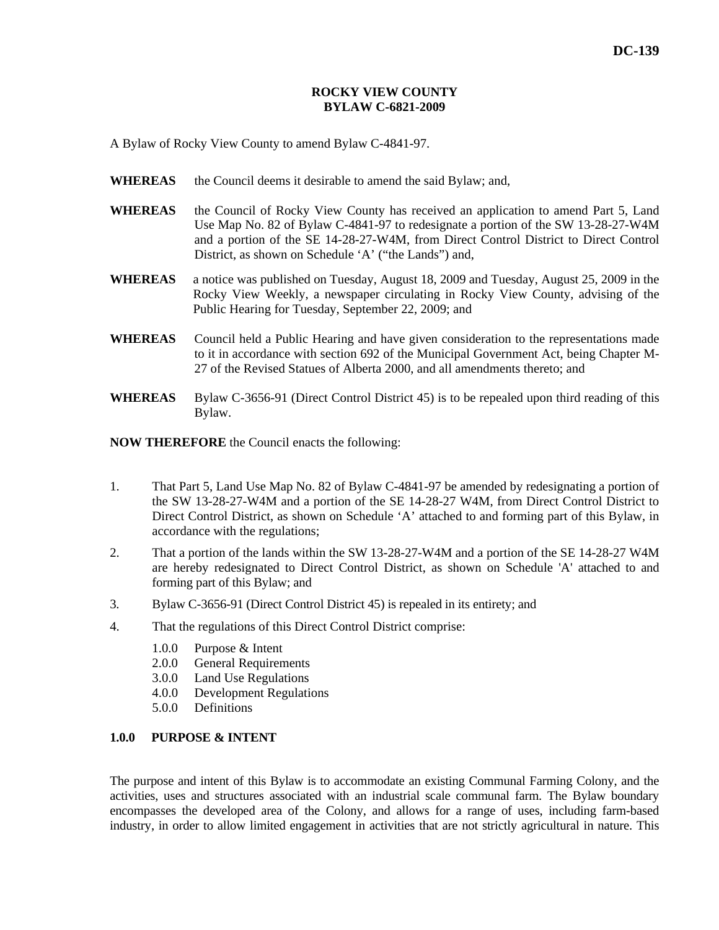#### **ROCKY VIEW COUNTY BYLAW C-6821-2009**

A Bylaw of Rocky View County to amend Bylaw C-4841-97.

- WHEREAS the Council deems it desirable to amend the said Bylaw; and,
- **WHEREAS** the Council of Rocky View County has received an application to amend Part 5, Land Use Map No. 82 of Bylaw C-4841-97 to redesignate a portion of the SW 13-28-27-W4M and a portion of the SE 14-28-27-W4M, from Direct Control District to Direct Control District, as shown on Schedule 'A' ("the Lands") and,
- **WHEREAS** a notice was published on Tuesday, August 18, 2009 and Tuesday, August 25, 2009 in the Rocky View Weekly, a newspaper circulating in Rocky View County, advising of the Public Hearing for Tuesday, September 22, 2009; and
- **WHEREAS** Council held a Public Hearing and have given consideration to the representations made to it in accordance with section 692 of the Municipal Government Act, being Chapter M-27 of the Revised Statues of Alberta 2000, and all amendments thereto; and
- **WHEREAS** Bylaw C-3656-91 (Direct Control District 45) is to be repealed upon third reading of this Bylaw.

**NOW THEREFORE** the Council enacts the following:

- 1. That Part 5, Land Use Map No. 82 of Bylaw C-4841-97 be amended by redesignating a portion of the SW 13-28-27-W4M and a portion of the SE 14-28-27 W4M, from Direct Control District to Direct Control District, as shown on Schedule 'A' attached to and forming part of this Bylaw, in accordance with the regulations;
- 2. That a portion of the lands within the SW 13-28-27-W4M and a portion of the SE 14-28-27 W4M are hereby redesignated to Direct Control District, as shown on Schedule 'A' attached to and forming part of this Bylaw; and
- 3. Bylaw C-3656-91 (Direct Control District 45) is repealed in its entirety; and
- 4. That the regulations of this Direct Control District comprise:
	- 1.0.0 Purpose & Intent
	- 2.0.0 General Requirements
	- 3.0.0 Land Use Regulations
	- 4.0.0 Development Regulations
	- 5.0.0 Definitions

# **1.0.0 PURPOSE & INTENT**

The purpose and intent of this Bylaw is to accommodate an existing Communal Farming Colony, and the activities, uses and structures associated with an industrial scale communal farm. The Bylaw boundary encompasses the developed area of the Colony, and allows for a range of uses, including farm-based industry, in order to allow limited engagement in activities that are not strictly agricultural in nature. This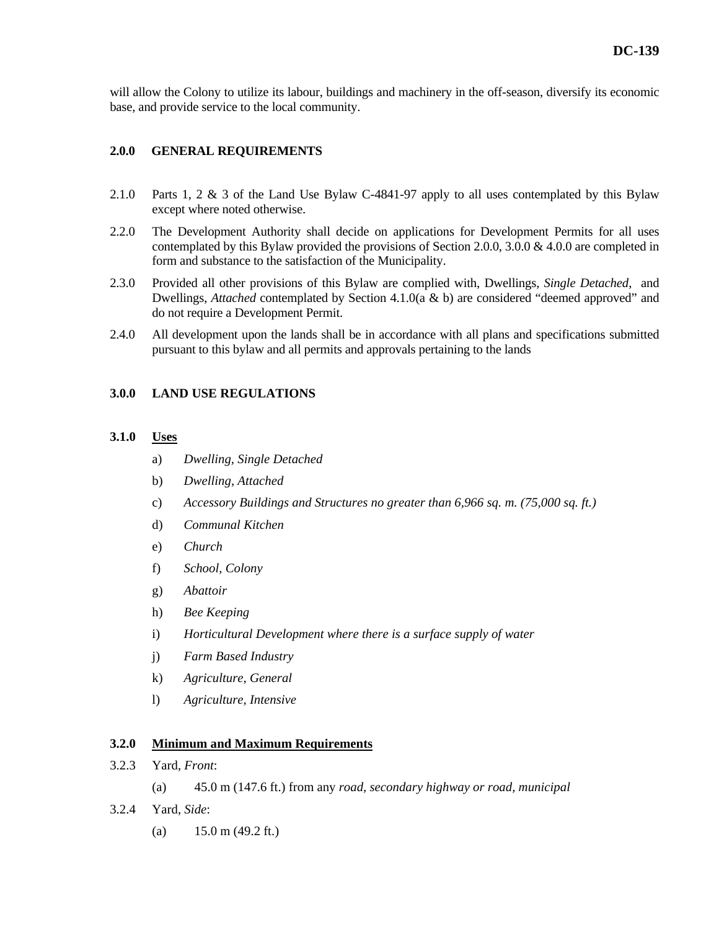will allow the Colony to utilize its labour, buildings and machinery in the off-season, diversify its economic base, and provide service to the local community.

### **2.0.0 GENERAL REQUIREMENTS**

- 2.1.0 Parts 1, 2 & 3 of the Land Use Bylaw C-4841-97 apply to all uses contemplated by this Bylaw except where noted otherwise.
- 2.2.0 The Development Authority shall decide on applications for Development Permits for all uses contemplated by this Bylaw provided the provisions of Section 2.0.0, 3.0.0 & 4.0.0 are completed in form and substance to the satisfaction of the Municipality.
- 2.3.0 Provided all other provisions of this Bylaw are complied with, Dwellings, *Single Detached*, and Dwellings, *Attached* contemplated by Section 4.1.0(a & b) are considered "deemed approved" and do not require a Development Permit.
- 2.4.0 All development upon the lands shall be in accordance with all plans and specifications submitted pursuant to this bylaw and all permits and approvals pertaining to the lands

#### **3.0.0 LAND USE REGULATIONS**

#### **3.1.0 Uses**

- a) *Dwelling, Single Detached*
- b) *Dwelling, Attached*
- c) *Accessory Buildings and Structures no greater than 6,966 sq. m. (75,000 sq. ft.)*
- d) *Communal Kitchen*
- e) *Church*
- f) *School, Colony*
- g) *Abattoir*
- h) *Bee Keeping*
- i) *Horticultural Development where there is a surface supply of water*
- j) *Farm Based Industry*
- k) *Agriculture, General*
- l) *Agriculture, Intensive*

### **3.2.0 Minimum and Maximum Requirements**

- 3.2.3 Yard, *Front*:
	- (a) 45.0 m (147.6 ft.) from any *road, secondary highway or road, municipal*
- 3.2.4 Yard, *Side*:
	- (a)  $15.0 \text{ m} (49.2 \text{ ft.})$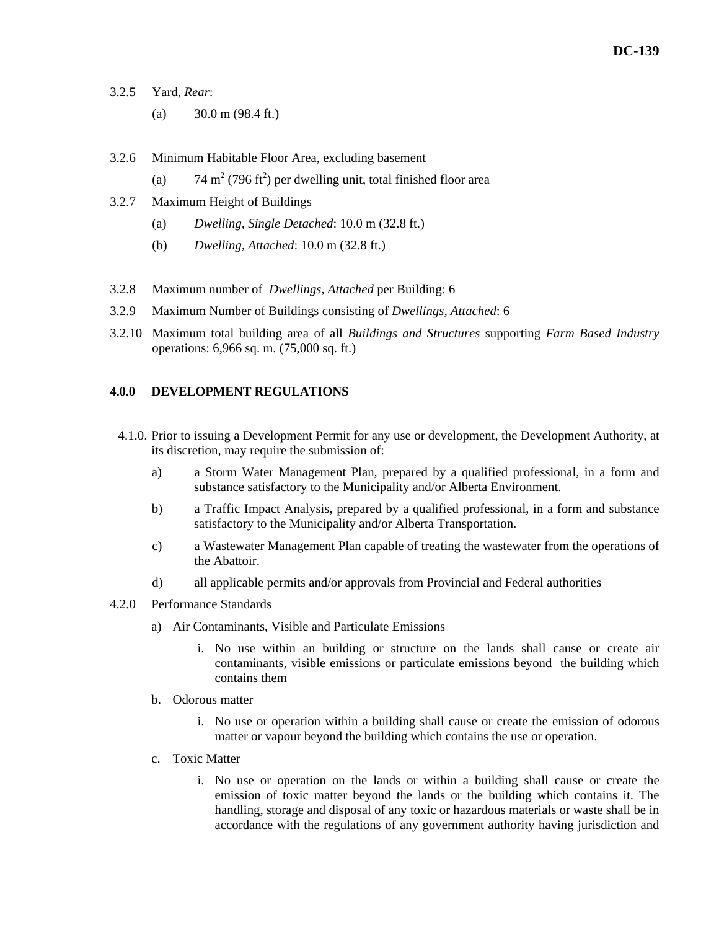- 3.2.5 Yard, *Rear*:
	- (a)  $30.0 \text{ m} (98.4 \text{ ft.})$
- 3.2.6 Minimum Habitable Floor Area, excluding basement
- (a)  $74 \text{ m}^2 (796 \text{ ft}^2)$  per dwelling unit, total finished floor area
- 3.2.7 Maximum Height of Buildings
	- (a) *Dwelling, Single Detached*: 10.0 m (32.8 ft.)
	- (b) *Dwelling, Attached*: 10.0 m (32.8 ft.)
- 3.2.8 Maximum number of *Dwellings, Attached* per Building: 6
- 3.2.9 Maximum Number of Buildings consisting of *Dwellings, Attached*: 6
- 3.2.10 Maximum total building area of all *Buildings and Structures* supporting *Farm Based Industry* operations: 6,966 sq. m. (75,000 sq. ft.)

#### **4.0.0 DEVELOPMENT REGULATIONS**

- 4.1.0. Prior to issuing a Development Permit for any use or development, the Development Authority, at its discretion, may require the submission of:
	- a) a Storm Water Management Plan, prepared by a qualified professional, in a form and substance satisfactory to the Municipality and/or Alberta Environment.
	- b) a Traffic Impact Analysis, prepared by a qualified professional, in a form and substance satisfactory to the Municipality and/or Alberta Transportation.
	- c) a Wastewater Management Plan capable of treating the wastewater from the operations of the Abattoir.
	- d) all applicable permits and/or approvals from Provincial and Federal authorities
- 4.2.0 Performance Standards
	- a) Air Contaminants, Visible and Particulate Emissions
		- i. No use within an building or structure on the lands shall cause or create air contaminants, visible emissions or particulate emissions beyond the building which contains them
	- b. Odorous matter
		- i. No use or operation within a building shall cause or create the emission of odorous matter or vapour beyond the building which contains the use or operation.
	- c. Toxic Matter
		- i. No use or operation on the lands or within a building shall cause or create the emission of toxic matter beyond the lands or the building which contains it. The handling, storage and disposal of any toxic or hazardous materials or waste shall be in accordance with the regulations of any government authority having jurisdiction and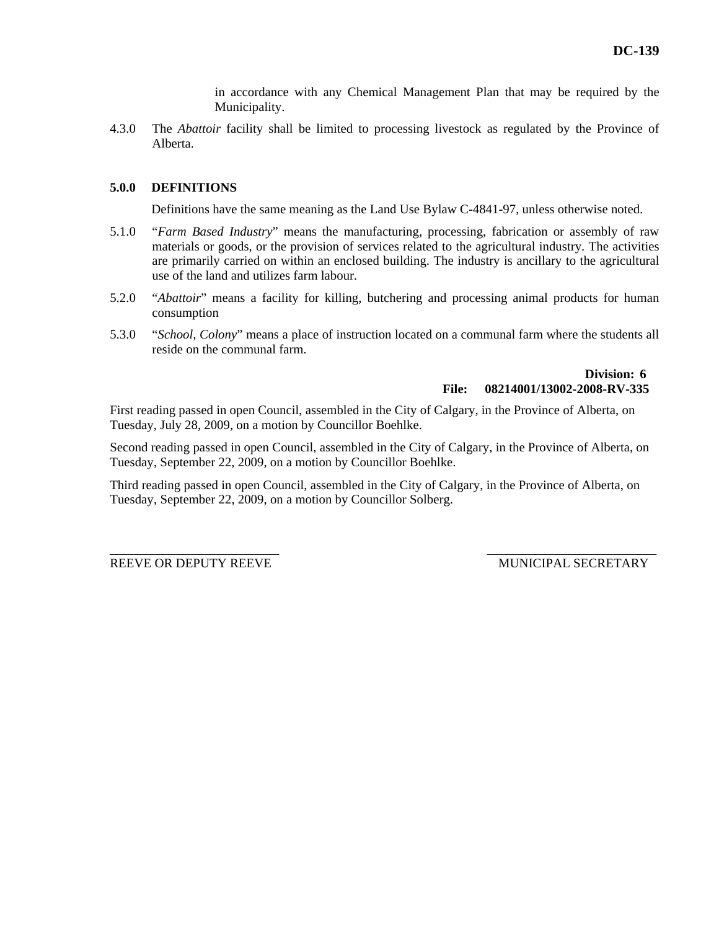in accordance with any Chemical Management Plan that may be required by the Municipality.

4.3.0 The *Abattoir* facility shall be limited to processing livestock as regulated by the Province of Alberta.

### **5.0.0 DEFINITIONS**

Definitions have the same meaning as the Land Use Bylaw C-4841-97, unless otherwise noted.

- 5.1.0 "*Farm Based Industry*" means the manufacturing, processing, fabrication or assembly of raw materials or goods, or the provision of services related to the agricultural industry. The activities are primarily carried on within an enclosed building. The industry is ancillary to the agricultural use of the land and utilizes farm labour.
- 5.2.0 "*Abattoir*" means a facility for killing, butchering and processing animal products for human consumption
- 5.3.0 "*School, Colony*" means a place of instruction located on a communal farm where the students all reside on the communal farm.

## **Division: 6 File: 08214001/13002-2008-RV-335**

First reading passed in open Council, assembled in the City of Calgary, in the Province of Alberta, on Tuesday, July 28, 2009, on a motion by Councillor Boehlke.

Second reading passed in open Council, assembled in the City of Calgary, in the Province of Alberta, on Tuesday, September 22, 2009, on a motion by Councillor Boehlke.

Third reading passed in open Council, assembled in the City of Calgary, in the Province of Alberta, on Tuesday, September 22, 2009, on a motion by Councillor Solberg.

REEVE OR DEPUTY REEVE MUNICIPAL SECRETARY